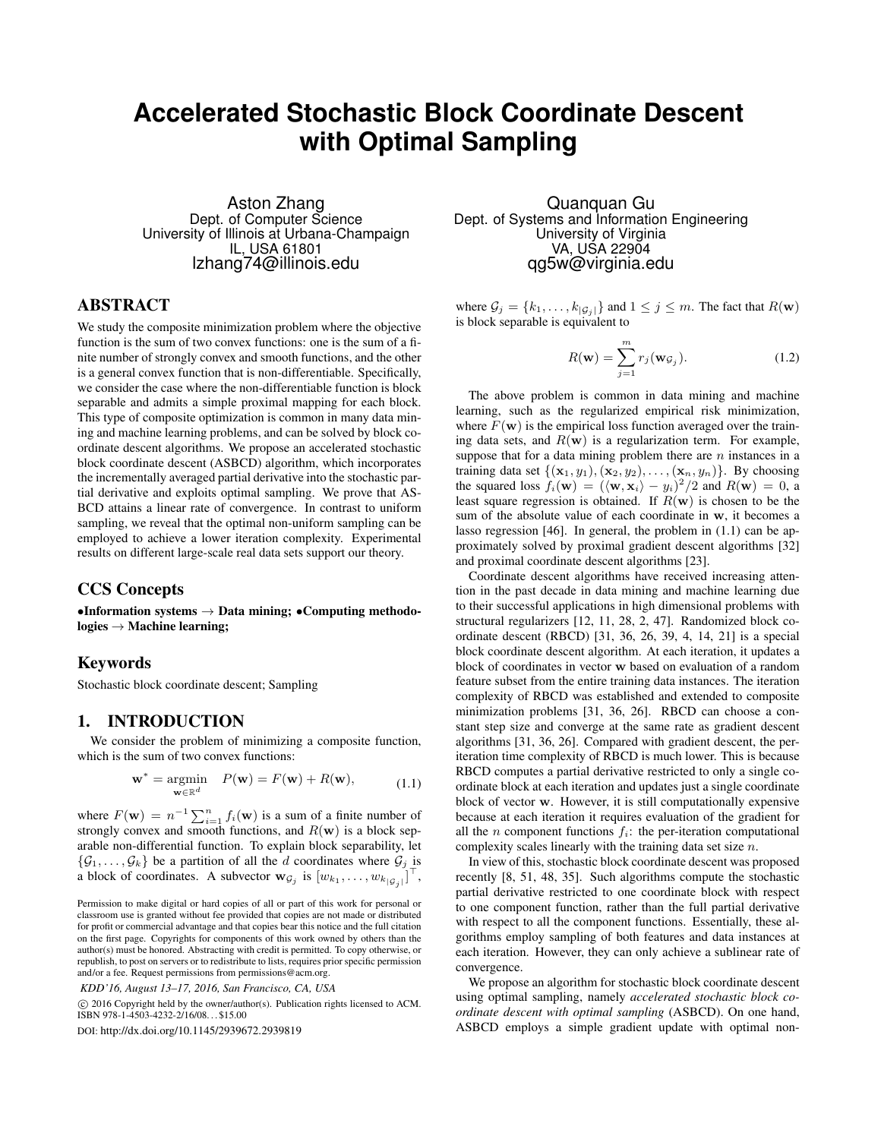# **Accelerated Stochastic Block Coordinate Descent with Optimal Sampling**

Aston Zhang Dept. of Computer Science University of Illinois at Urbana-Champaign IL, USA 61801 lzhang74@illinois.edu

## ABSTRACT

We study the composite minimization problem where the objective function is the sum of two convex functions: one is the sum of a finite number of strongly convex and smooth functions, and the other is a general convex function that is non-differentiable. Specifically, we consider the case where the non-differentiable function is block separable and admits a simple proximal mapping for each block. This type of composite optimization is common in many data mining and machine learning problems, and can be solved by block coordinate descent algorithms. We propose an accelerated stochastic block coordinate descent (ASBCD) algorithm, which incorporates the incrementally averaged partial derivative into the stochastic partial derivative and exploits optimal sampling. We prove that AS-BCD attains a linear rate of convergence. In contrast to uniform sampling, we reveal that the optimal non-uniform sampling can be employed to achieve a lower iteration complexity. Experimental results on different large-scale real data sets support our theory.

## CCS Concepts

•Information systems  $\rightarrow$  Data mining; •Computing methodo $logies \rightarrow Machine$  learning;

## Keywords

Stochastic block coordinate descent; Sampling

## 1. INTRODUCTION

We consider the problem of minimizing a composite function, which is the sum of two convex functions:

<span id="page-0-0"></span>
$$
\mathbf{w}^* = \underset{\mathbf{w} \in \mathbb{R}^d}{\text{argmin}} \quad P(\mathbf{w}) = F(\mathbf{w}) + R(\mathbf{w}), \tag{1.1}
$$

where  $F(\mathbf{w}) = n^{-1} \sum_{i=1}^{n} f_i(\mathbf{w})$  is a sum of a finite number of strongly convex and smooth functions, and  $R(\mathbf{w})$  is a block separable non-differential function. To explain block separability, let  $\{\mathcal{G}_1,\ldots,\mathcal{G}_k\}$  be a partition of all the d coordinates where  $\mathcal{G}_i$  is a block of coordinates. A subvector  $\mathbf{w}_{\mathcal{G}_j}$  is  $[w_{k_1}, \dots, w_{k_{|\mathcal{G}_j|}}]^\top$ ,

*KDD'16, August 13–17, 2016, San Francisco, CA, USA*

 c 2016 Copyright held by the owner/author(s). Publication rights licensed to ACM. ISBN 978-1-4503-4232-2/16/08. . . \$15.00

DOI: <http://dx.doi.org/10.1145/2939672.2939819>

Quanquan Gu Dept. of Systems and Information Engineering University of Virginia VA, USA 22904 qg5w@virginia.edu

where  $\mathcal{G}_j = \{k_1, \ldots, k_{|\mathcal{G}_j|}\}\$  and  $1 \leq j \leq m$ . The fact that  $R(\mathbf{w})$ is block separable is equivalent to

<span id="page-0-1"></span>
$$
R(\mathbf{w}) = \sum_{j=1}^{m} r_j(\mathbf{w}_{\mathcal{G}_j}).
$$
\n(1.2)

The above problem is common in data mining and machine learning, such as the regularized empirical risk minimization, where  $F(\mathbf{w})$  is the empirical loss function averaged over the training data sets, and  $R(\mathbf{w})$  is a regularization term. For example, suppose that for a data mining problem there are  $n$  instances in a training data set  $\{(\mathbf{x}_1, y_1), (\mathbf{x}_2, y_2), \ldots, (\mathbf{x}_n, y_n)\}$ . By choosing the squared loss  $f_i(\mathbf{w}) = (\langle \mathbf{w}, \mathbf{x}_i \rangle - y_i)^2/2$  and  $R(\mathbf{w}) = 0$ , a least square regression is obtained. If  $R(\mathbf{w})$  is chosen to be the sum of the absolute value of each coordinate in w, it becomes a lasso regression [\[46\]](#page-8-0). In general, the problem in [\(1.1\)](#page-0-0) can be approximately solved by proximal gradient descent algorithms [\[32\]](#page-7-0) and proximal coordinate descent algorithms [\[23\]](#page-6-0).

Coordinate descent algorithms have received increasing attention in the past decade in data mining and machine learning due to their successful applications in high dimensional problems with structural regularizers [\[12,](#page-6-1) [11,](#page-6-2) [28,](#page-7-1) [2,](#page-5-0) [47\]](#page-8-1). Randomized block coordinate descent (RBCD) [\[31,](#page-7-2) [36,](#page-7-3) [26,](#page-7-4) [39,](#page-8-2) [4,](#page-5-1) [14,](#page-6-3) [21\]](#page-6-4) is a special block coordinate descent algorithm. At each iteration, it updates a block of coordinates in vector w based on evaluation of a random feature subset from the entire training data instances. The iteration complexity of RBCD was established and extended to composite minimization problems [\[31,](#page-7-2) [36,](#page-7-3) [26\]](#page-7-4). RBCD can choose a constant step size and converge at the same rate as gradient descent algorithms [\[31,](#page-7-2) [36,](#page-7-3) [26\]](#page-7-4). Compared with gradient descent, the periteration time complexity of RBCD is much lower. This is because RBCD computes a partial derivative restricted to only a single coordinate block at each iteration and updates just a single coordinate block of vector w. However, it is still computationally expensive because at each iteration it requires evaluation of the gradient for all the *n* component functions  $f_i$ : the per-iteration computational complexity scales linearly with the training data set size  $n$ .

In view of this, stochastic block coordinate descent was proposed recently [\[8,](#page-5-2) [51,](#page-8-3) [48,](#page-8-4) [35\]](#page-7-5). Such algorithms compute the stochastic partial derivative restricted to one coordinate block with respect to one component function, rather than the full partial derivative with respect to all the component functions. Essentially, these algorithms employ sampling of both features and data instances at each iteration. However, they can only achieve a sublinear rate of convergence.

We propose an algorithm for stochastic block coordinate descent using optimal sampling, namely *accelerated stochastic block coordinate descent with optimal sampling* (ASBCD). On one hand, ASBCD employs a simple gradient update with optimal non-

Permission to make digital or hard copies of all or part of this work for personal or classroom use is granted without fee provided that copies are not made or distributed for profit or commercial advantage and that copies bear this notice and the full citation on the first page. Copyrights for components of this work owned by others than the author(s) must be honored. Abstracting with credit is permitted. To copy otherwise, or republish, to post on servers or to redistribute to lists, requires prior specific permission and/or a fee. Request permissions from permissions@acm.org.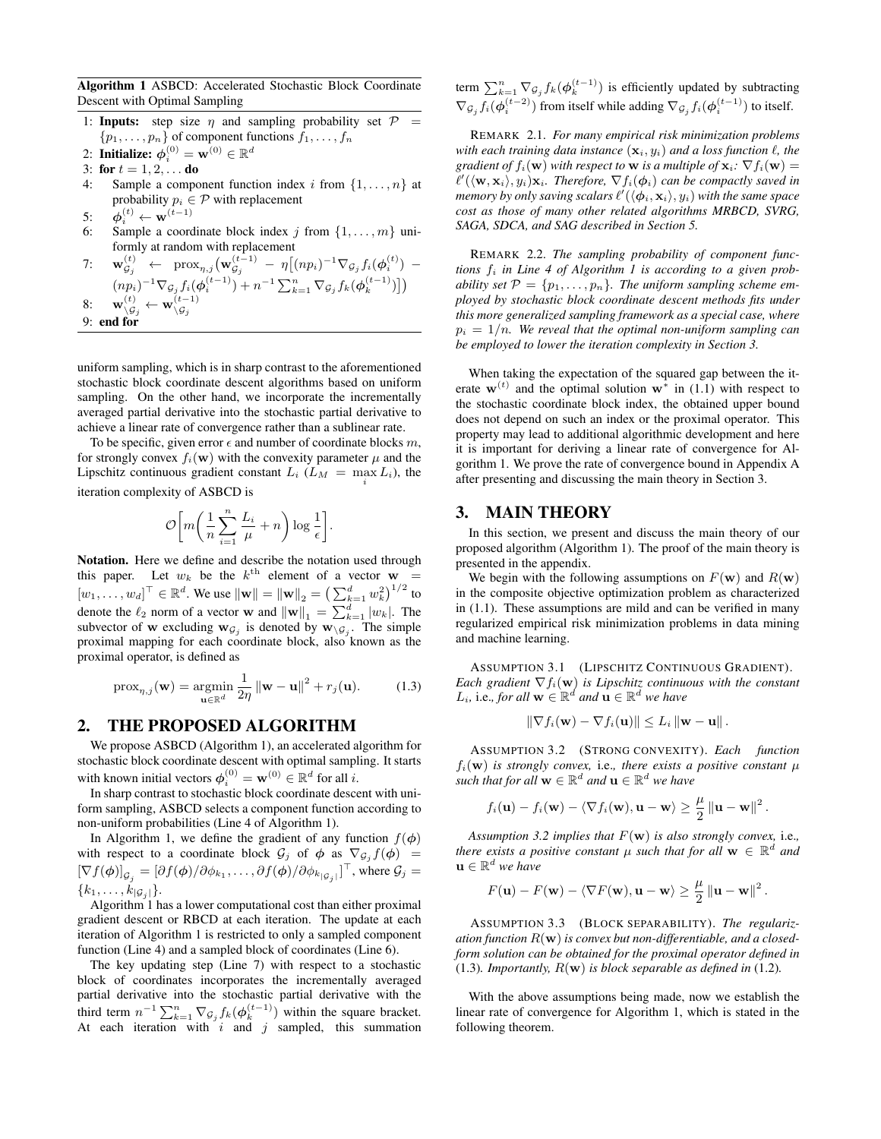<span id="page-1-0"></span>Algorithm 1 ASBCD: Accelerated Stochastic Block Coordinate Descent with Optimal Sampling

- 1: Inputs: step size  $\eta$  and sampling probability set  $\mathcal{P}$  =  $\{p_1, \ldots, p_n\}$  of component functions  $f_1, \ldots, f_n$
- 2: Initialize:  $\boldsymbol{\phi}_i^{(0)} = \mathbf{w}^{(0)} \in \mathbb{R}^d$
- 3: for  $t = 1, 2, ...$  do
- <span id="page-1-1"></span>4: Sample a component function index i from  $\{1, \ldots, n\}$  at probability  $p_i \in \mathcal{P}$  with replacement
- <span id="page-1-2"></span>5:  $\phi_i^{(t)} \leftarrow \mathbf{w}^{(t-1)}$
- 6: Sample a coordinate block index j from  $\{1, \ldots, m\}$  uniformly at random with replacement

7: 
$$
\mathbf{w}_{\mathcal{G}_j}^{(t)} \leftarrow \text{prox}_{\eta,j} (\mathbf{w}_{\mathcal{G}_j}^{(t-1)} - \eta [(np_i)^{-1} \nabla_{\mathcal{G}_j} f_i(\boldsymbol{\phi}_i^{(t)}) - (np_i)^{-1} \nabla_{\mathcal{G}_j} f_i(\boldsymbol{\phi}_i^{(t-1)}) + n^{-1} \sum_{k=1}^n \nabla_{\mathcal{G}_j} f_k(\boldsymbol{\phi}_k^{(t-1)})]
$$
  
\n8:  $\mathbf{w}_{\backslash \mathcal{G}_j}^{(t)} \leftarrow \mathbf{w}_{\backslash \mathcal{G}_j}^{(t-1)}$   
\n9: **end for**

uniform sampling, which is in sharp contrast to the aforementioned stochastic block coordinate descent algorithms based on uniform sampling. On the other hand, we incorporate the incrementally averaged partial derivative into the stochastic partial derivative to achieve a linear rate of convergence rather than a sublinear rate.

To be specific, given error  $\epsilon$  and number of coordinate blocks  $m$ , for strongly convex  $f_i(\mathbf{w})$  with the convexity parameter  $\mu$  and the Lipschitz continuous gradient constant  $L_i$  ( $L_M = \max_i L_i$ ), the iteration complexity of ASBCD is

$$
\mathcal{O}\bigg[m\bigg(\frac{1}{n}\sum_{i=1}^n\frac{L_i}{\mu}+n\bigg)\log\frac{1}{\epsilon}\bigg].
$$

Notation. Here we define and describe the notation used through this paper. Let  $w_k$  be the  $k^{\text{th}}$  element of a vector  $\mathbf{w} =$  $[w_1, \ldots, w_d]^\top \in \mathbb{R}^d$ . We use  $\|\mathbf{w}\| = \|\mathbf{w}\|_2 = \left(\sum_{k=1}^d w_k^2\right)^{1/2}$  to denote the  $\ell_2$  norm of a vector w and  $\|\mathbf{w}\|_1 = \sum_{k=1}^d |w_k|$ . The subvector of **w** excluding  $w_{\mathcal{G}_j}$  is denoted by  $w_{\setminus \mathcal{G}_j}$ . The simple proximal mapping for each coordinate block, also known as the proximal operator, is defined as

$$
\text{prox}_{\eta, j}(\mathbf{w}) = \underset{\mathbf{u} \in \mathbb{R}^d}{\text{argmin}} \frac{1}{2\eta} \left\| \mathbf{w} - \mathbf{u} \right\|^2 + r_j(\mathbf{u}). \tag{1.3}
$$

## 2. THE PROPOSED ALGORITHM

We propose ASBCD (Algorithm [1\)](#page-1-0), an accelerated algorithm for stochastic block coordinate descent with optimal sampling. It starts with known initial vectors  $\boldsymbol{\phi}_i^{(0)} = \mathbf{w}^{(0)} \in \mathbb{R}^d$  for all *i*.

In sharp contrast to stochastic block coordinate descent with uniform sampling, ASBCD selects a component function according to non-uniform probabilities (Line [4](#page-1-1) of Algorithm [1\)](#page-1-0).

In Algorithm [1,](#page-1-0) we define the gradient of any function  $f(\phi)$ with respect to a coordinate block  $\mathcal{G}_j$  of  $\phi$  as  $\nabla_{\mathcal{G}_j} f(\phi) =$  $[\nabla f(\boldsymbol{\phi})]_{\mathcal{G}_j} = [\partial f(\boldsymbol{\phi})/\partial \phi_{k_1}, \dots, \partial f(\boldsymbol{\phi})/\partial \phi_{k_{|\mathcal{G}_j|}}]^{\top}$ , where  $\mathcal{G}_j =$  ${k_1, \ldots, k_{|\mathcal{G}_i|}}.$ 

Algorithm [1](#page-1-0) has a lower computational cost than either proximal gradient descent or RBCD at each iteration. The update at each iteration of Algorithm [1](#page-1-0) is restricted to only a sampled component function (Line [4\)](#page-1-1) and a sampled block of coordinates (Line [6\)](#page-1-2).

The key updating step (Line [7\)](#page-1-3) with respect to a stochastic block of coordinates incorporates the incrementally averaged partial derivative into the stochastic partial derivative with the third term  $n^{-1} \sum_{k=1}^{n} \nabla g_j f_k(\phi_k^{(t-1)})$  within the square bracket. At each iteration with i and j sampled, this summation term  $\sum_{k=1}^{n} \nabla_{\mathcal{G}_j} f_k(\boldsymbol{\phi}_k^{(t-1)})$  is efficiently updated by subtracting  $\nabla_{\mathcal{G}_j} f_i(\phi_i^{(t-2)})$  from itself while adding  $\nabla_{\mathcal{G}_j} f_i(\phi_i^{(t-1)})$  to itself.

REMARK 2.1. *For many empirical risk minimization problems with each training data instance*  $(\mathbf{x}_i, y_i)$  *and a loss function*  $\ell$ *, the gradient of*  $f_i(\mathbf{w})$  *with respect to* **w** *is a multiple of*  $\mathbf{x}_i$ *:*  $\nabla f_i(\mathbf{w}) =$  $\ell'(\langle \mathbf{w}, \mathbf{x}_i \rangle, y_i) \mathbf{x}_i$ *. Therefore,*  $\nabla f_i(\boldsymbol{\phi}_i)$  *can be compactly saved in* memory by only saving scalars  $\ell'(\langle \phi_i, \mathbf{x}_i \rangle, y_i)$  with the same space *cost as those of many other related algorithms MRBCD, SVRG, SAGA, SDCA, and SAG described in Section [5.](#page-4-0)*

<span id="page-1-3"></span>REMARK 2.2. *The sampling probability of component functions*  $f_i$  *in Line* [4](#page-1-1) *of Algorithm [1](#page-1-0) is according to a given probability set*  $P = \{p_1, \ldots, p_n\}$ *. The uniform sampling scheme employed by stochastic block coordinate descent methods fits under this more generalized sampling framework as a special case, where*  $p_i = 1/n$ *. We reveal that the optimal non-uniform sampling can be employed to lower the iteration complexity in Section [3.](#page-1-4)*

When taking the expectation of the squared gap between the iterate  $\mathbf{w}^{(t)}$  and the optimal solution  $\mathbf{w}^*$  in [\(1.1\)](#page-0-0) with respect to the stochastic coordinate block index, the obtained upper bound does not depend on such an index or the proximal operator. This property may lead to additional algorithmic development and here it is important for deriving a linear rate of convergence for Algorithm [1.](#page-1-0) We prove the rate of convergence bound in Appendix [A](#page-8-5) after presenting and discussing the main theory in Section [3.](#page-1-4)

## <span id="page-1-4"></span>3. MAIN THEORY

In this section, we present and discuss the main theory of our proposed algorithm (Algorithm [1\)](#page-1-0). The proof of the main theory is presented in the appendix.

We begin with the following assumptions on  $F(\mathbf{w})$  and  $R(\mathbf{w})$ in the composite objective optimization problem as characterized in [\(1.1\)](#page-0-0). These assumptions are mild and can be verified in many regularized empirical risk minimization problems in data mining and machine learning.

<span id="page-1-6"></span><span id="page-1-5"></span>ASSUMPTION 3.1 (LIPSCHITZ CONTINUOUS GRADIENT). *Each gradient*  $\nabla f_i(\mathbf{w})$  *is Lipschitz continuous with the constant*  $L_i$ , i.e., for all  $\mathbf{w} \in \mathbb{R}^d$  and  $\mathbf{u} \in \mathbb{R}^d$  we have

$$
\|\nabla f_i(\mathbf{w}) - \nabla f_i(\mathbf{u})\| \leq L_i \|\mathbf{w} - \mathbf{u}\|.
$$

ASSUMPTION 3.2 (STRONG CONVEXITY). *Each function*  $f_i(\mathbf{w})$  *is strongly convex, i.e., there exists a positive constant*  $\mu$ *such that for all*  $\mathbf{w} \in \mathbb{R}^d$  *and*  $\mathbf{u} \in \mathbb{R}^d$  *we have* 

$$
f_i(\mathbf{u}) - f_i(\mathbf{w}) - \langle \nabla f_i(\mathbf{w}), \mathbf{u} - \mathbf{w} \rangle \ge \frac{\mu}{2} ||\mathbf{u} - \mathbf{w}||^2.
$$

*Assumption 3.2 implies that* F(w) *is also strongly convex,* i.e.*, there exists a positive constant*  $\mu$  *such that for all*  $\mathbf{w} \in \mathbb{R}^d$  and  $\mathbf{u} \in \mathbb{R}^d$  we have

$$
F(\mathbf{u}) - F(\mathbf{w}) - \langle \nabla F(\mathbf{w}), \mathbf{u} - \mathbf{w} \rangle \ge \frac{\mu}{2} ||\mathbf{u} - \mathbf{w}||^2.
$$

<span id="page-1-7"></span>ASSUMPTION 3.3 (BLOCK SEPARABILITY). *The regularization function* R(w) *is convex but non-differentiable, and a closedform solution can be obtained for the proximal operator defined in* [\(1.3\)](#page-1-5)*. Importantly,*  $R(\mathbf{w})$  *is block separable as defined in* [\(1.2\)](#page-0-1)*.* 

<span id="page-1-8"></span>With the above assumptions being made, now we establish the linear rate of convergence for Algorithm [1,](#page-1-0) which is stated in the following theorem.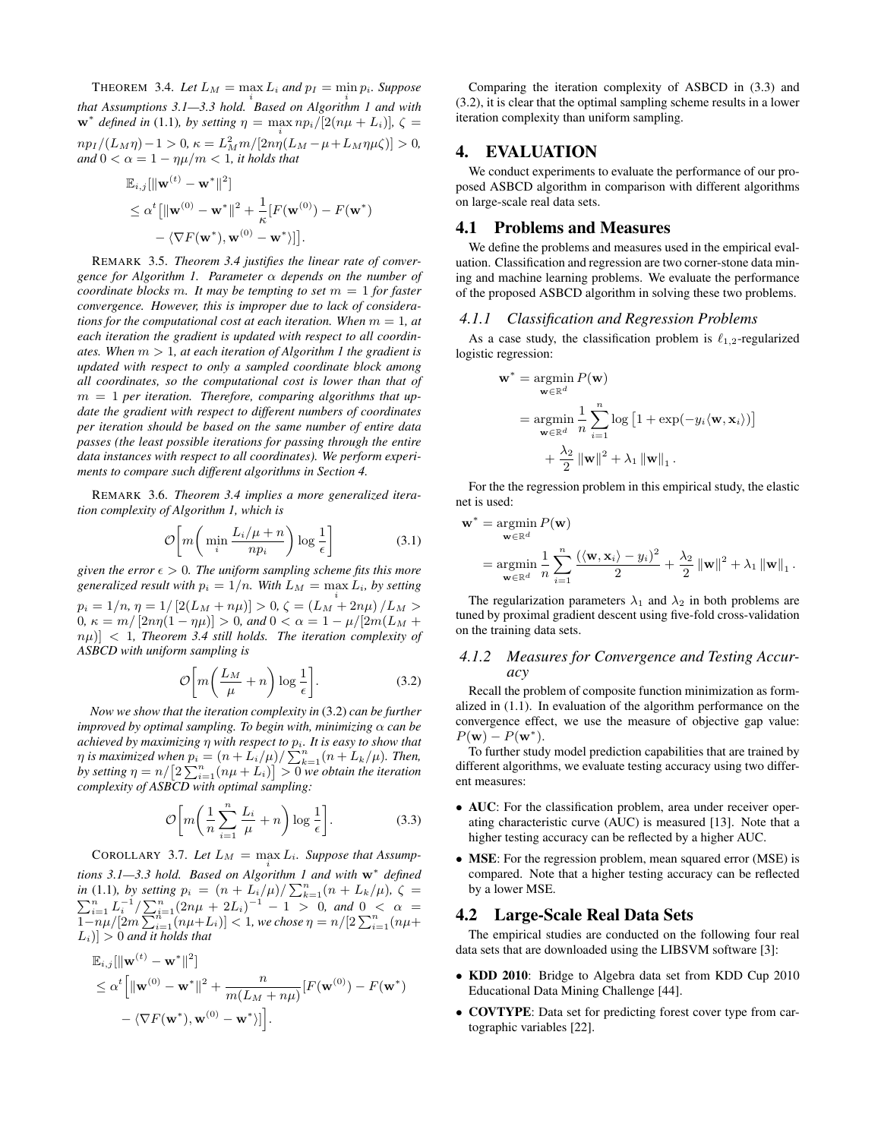THEOREM 3.4. Let  $L_M = \max L_i$  and  $p_I = \min p_i$ . Suppose i i *that Assumptions [3.1—](#page-1-6)[3.3](#page-1-7) hold. Based on Algorithm [1](#page-1-0) and with*  $\mathbf{w}^*$  defined in [\(1.1\)](#page-0-0)*,* by setting  $\eta = \max_i np_i/[2(n\mu + L_i)], \zeta =$  $np_I/(L_M\eta)-1 > 0, \kappa = L_M^2 m/[2n\eta(L_M - \mu + L_M\eta\mu\zeta)] > 0,$ *and*  $0 < \alpha = 1 - \eta \mu / m < 1$ *, it holds that* 

$$
\mathbb{E}_{i,j}[\|\mathbf{w}^{(t)} - \mathbf{w}^*\|^2]
$$
  
\n
$$
\leq \alpha^t [\|\mathbf{w}^{(0)} - \mathbf{w}^*\|^2 + \frac{1}{\kappa} [F(\mathbf{w}^{(0)}) - F(\mathbf{w}^*)]
$$
  
\n
$$
-(\nabla F(\mathbf{w}^*), \mathbf{w}^{(0)} - \mathbf{w}^*)].
$$

<span id="page-2-4"></span>REMARK 3.5. *Theorem [3.4](#page-1-8) justifies the linear rate of convergence for Algorithm [1.](#page-1-0) Parameter* α *depends on the number of coordinate blocks m. It may be tempting to set*  $m = 1$  *for faster convergence. However, this is improper due to lack of considerations for the computational cost at each iteration. When*  $m = 1$ *, at each iteration the gradient is updated with respect to all coordinates. When* m > 1*, at each iteration of Algorithm [1](#page-1-0) the gradient is updated with respect to only a sampled coordinate block among all coordinates, so the computational cost is lower than that of* m = 1 *per iteration. Therefore, comparing algorithms that update the gradient with respect to different numbers of coordinates per iteration should be based on the same number of entire data passes (the least possible iterations for passing through the entire data instances with respect to all coordinates). We perform experiments to compare such different algorithms in Section [4.](#page-2-0)*

REMARK 3.6. *Theorem [3.4](#page-1-8) implies a more generalized iteration complexity of Algorithm [1,](#page-1-0) which is*

$$
\mathcal{O}\left[m\left(\min_{i}\frac{L_i/\mu+n}{np_i}\right)\log\frac{1}{\epsilon}\right]
$$
 (3.1)

*given the error*  $\epsilon > 0$ *. The uniform sampling scheme fits this more* generalized result with  $p_i = 1/n$ . With  $L_M = \max_i L_i$ , by setting  $p_i = 1/n$ ,  $\eta = 1/[2(L_M + n\mu)] > 0$ ,  $\zeta = (L_M + 2n\mu)/L_M >$ 0*,*  $\kappa = m/[2n\eta(1 - \eta\mu)] > 0$ *, and*  $0 < \alpha = 1 - \mu/[2m(L_M +$ nµ)] < 1*, Theorem [3.4](#page-1-8) still holds. The iteration complexity of ASBCD with uniform sampling is*

$$
\mathcal{O}\bigg[m\bigg(\frac{L_M}{\mu} + n\bigg)\log\frac{1}{\epsilon}\bigg].\tag{3.2}
$$

*Now we show that the iteration complexity in* [\(3.2\)](#page-2-1) *can be further improved by optimal sampling. To begin with, minimizing* α *can be achieved by maximizing* η *with respect to* pi*. It is easy to show that*  $\eta$  is maximized when  $p_i = (n + L_i/\mu)/\sum_{k=1}^n (n + L_k/\mu)$ . Then, by setting  $\eta = n/[2 \sum_{i=1}^{n} (n\mu + L_i)] > 0$  we obtain the iteration *complexity of ASBCD with optimal sampling:*

$$
\mathcal{O}\bigg[m\bigg(\frac{1}{n}\sum_{i=1}^{n}\frac{L_i}{\mu}+n\bigg)\log\frac{1}{\epsilon}\bigg].\tag{3.3}
$$

<span id="page-2-3"></span>COROLLARY 3.7. Let  $L_M = \max_i L_i$ . Suppose that Assump-

*tions [3.1—](#page-1-6)[3.3](#page-1-7) hold. Based on Algorithm [1](#page-1-0) and with* w<sup>∗</sup> *defined in* [\(1.1\)](#page-0-0)*, by setting*  $p_i = (n + L_i/\mu)/\sum_{k=1}^n E_i^{-1}/\sum_{i=1}^n (2n\mu + 2L_i)^{-1} - 1 > 0$ (1.1), by setting  $p_i = \frac{n + L_i}{\mu} \frac{\sum_{k=1}^{n} (n + L_k)}{\mu}$ ,  $\zeta = \frac{n}{i-1} L_i^{-1} / \frac{\sum_{i=1}^{n} (2n\mu + 2L_i)^{-1} - 1 > 0$ , and  $0 < \alpha =$  $\frac{1-n\mu}{[2m}\sum_{i=1}^{n-1}(n\mu+L_i)]$  < 1*, we chose*  $η = n/[2\sum_{i=1}^{n}(n\mu+L_i)]$  $|L_i| > 0$  *and it holds that* 

$$
\mathbb{E}_{i,j}[\|\mathbf{w}^{(t)} - \mathbf{w}^*\|^2] \n\leq \alpha^t \left[ \|\mathbf{w}^{(0)} - \mathbf{w}^*\|^2 + \frac{n}{m(L_M + n\mu)} [F(\mathbf{w}^{(0)}) - F(\mathbf{w}^*) - (\nabla F(\mathbf{w}^*), \mathbf{w}^{(0)} - \mathbf{w}^*)] \right].
$$

Comparing the iteration complexity of ASBCD in [\(3.3\)](#page-2-2) and [\(3.2\)](#page-2-1), it is clear that the optimal sampling scheme results in a lower iteration complexity than uniform sampling.

## <span id="page-2-0"></span>4. EVALUATION

We conduct experiments to evaluate the performance of our proposed ASBCD algorithm in comparison with different algorithms on large-scale real data sets.

## 4.1 Problems and Measures

We define the problems and measures used in the empirical evaluation. Classification and regression are two corner-stone data mining and machine learning problems. We evaluate the performance of the proposed ASBCD algorithm in solving these two problems.

#### *4.1.1 Classification and Regression Problems*

As a case study, the classification problem is  $\ell_{1,2}$ -regularized logistic regression:

$$
\mathbf{w}^* = \underset{\mathbf{w} \in \mathbb{R}^d}{\operatorname{argmin}} P(\mathbf{w})
$$
  
= 
$$
\underset{\mathbf{w} \in \mathbb{R}^d}{\operatorname{argmin}} \frac{1}{n} \sum_{i=1}^n \log \left[ 1 + \exp(-y_i \langle \mathbf{w}, \mathbf{x}_i \rangle) \right]
$$
  
+ 
$$
\frac{\lambda_2}{2} ||\mathbf{w}||^2 + \lambda_1 ||\mathbf{w}||_1.
$$

For the the regression problem in this empirical study, the elastic net is used:

$$
\mathbf{w}^* = \underset{\mathbf{w} \in \mathbb{R}^d}{\operatorname{argmin}} P(\mathbf{w})
$$
  
= 
$$
\underset{\mathbf{w} \in \mathbb{R}^d}{\operatorname{argmin}} \frac{1}{n} \sum_{i=1}^n \frac{(\langle \mathbf{w}, \mathbf{x}_i \rangle - y_i)^2}{2} + \frac{\lambda_2}{2} ||\mathbf{w}||^2 + \lambda_1 ||\mathbf{w}||_1.
$$

The regularization parameters  $\lambda_1$  and  $\lambda_2$  in both problems are tuned by proximal gradient descent using five-fold cross-validation on the training data sets.

#### *4.1.2 Measures for Convergence and Testing Accuracy*

<span id="page-2-1"></span>Recall the problem of composite function minimization as formalized in [\(1.1\)](#page-0-0). In evaluation of the algorithm performance on the convergence effect, we use the measure of objective gap value:  $P(\mathbf{w}) - P(\mathbf{w}^*)$ .

To further study model prediction capabilities that are trained by different algorithms, we evaluate testing accuracy using two different measures:

- <span id="page-2-2"></span>• AUC: For the classification problem, area under receiver operating characteristic curve (AUC) is measured [\[13\]](#page-6-5). Note that a higher testing accuracy can be reflected by a higher AUC.
- MSE: For the regression problem, mean squared error (MSE) is compared. Note that a higher testing accuracy can be reflected by a lower MSE.

#### <span id="page-2-5"></span>4.2 Large-Scale Real Data Sets

The empirical studies are conducted on the following four real data sets that are downloaded using the LIBSVM software [\[3\]](#page-5-3):

- KDD 2010: Bridge to Algebra data set from KDD Cup 2010 Educational Data Mining Challenge [\[44\]](#page-8-6).
- COVTYPE: Data set for predicting forest cover type from cartographic variables [\[22\]](#page-6-6).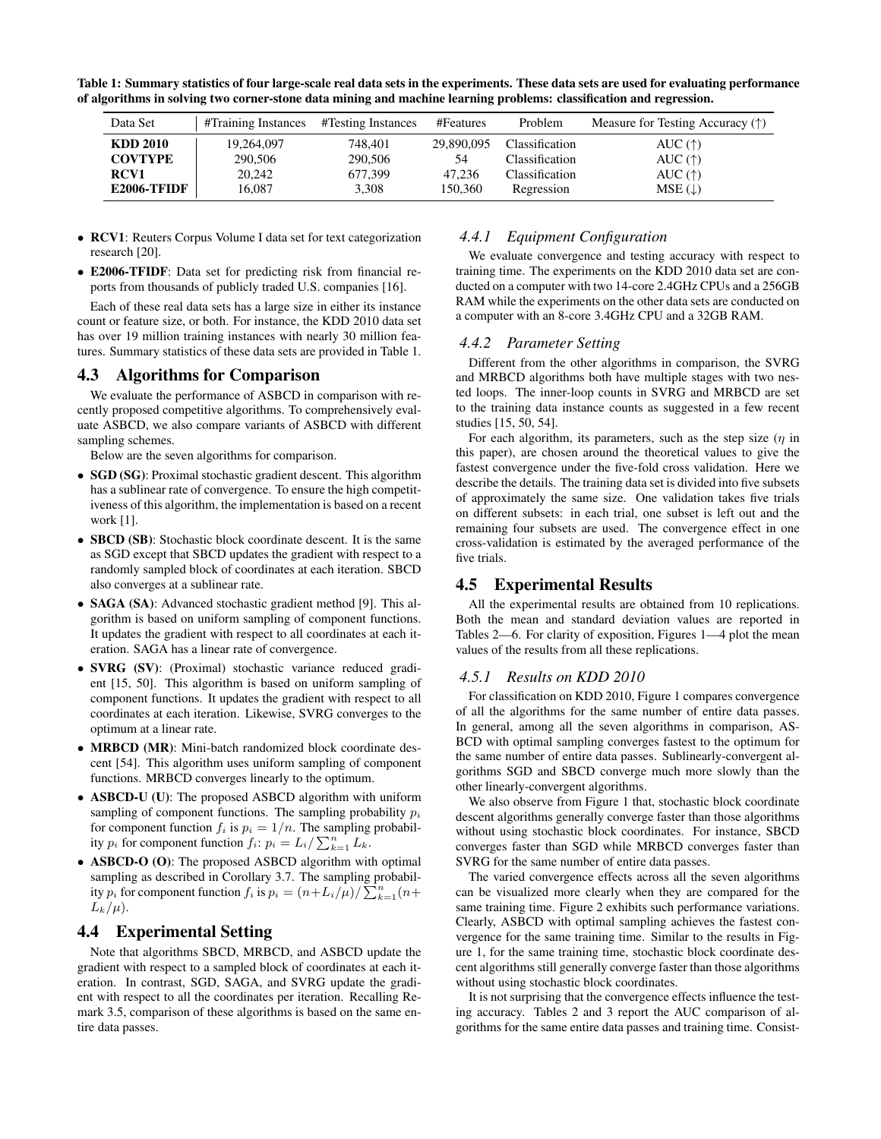<span id="page-3-0"></span>

| Table 1: Summary statistics of four large-scale real data sets in the experiments. These data sets are used for evaluating performance |  |
|----------------------------------------------------------------------------------------------------------------------------------------|--|
| of algorithms in solving two corner-stone data mining and machine learning problems: classification and regression.                    |  |

| Data Set           | #Training Instances | #Testing Instances | #Features  | Problem        | Measure for Testing Accuracy $(\uparrow)$ |
|--------------------|---------------------|--------------------|------------|----------------|-------------------------------------------|
| <b>KDD 2010</b>    | 19.264.097          | 748,401            | 29,890,095 | Classification | AUC $(\uparrow)$                          |
| <b>COVTYPE</b>     | 290,506             | 290,506            | 54         | Classification | AUC $(\uparrow)$                          |
| <b>RCV1</b>        | 20,242              | 677.399            | 47.236     | Classification | AUC $(\uparrow)$                          |
| <b>E2006-TFIDF</b> | 16.087              | 3.308              | 150.360    | Regression     | $MSE$ ( $\downarrow$ )                    |

- RCV1: Reuters Corpus Volume I data set for text categorization research [\[20\]](#page-6-7).
- E2006-TFIDF: Data set for predicting risk from financial reports from thousands of publicly traded U.S. companies [\[16\]](#page-6-8).

Each of these real data sets has a large size in either its instance count or feature size, or both. For instance, the KDD 2010 data set has over 19 million training instances with nearly 30 million features. Summary statistics of these data sets are provided in Table [1.](#page-3-0)

### 4.3 Algorithms for Comparison

We evaluate the performance of ASBCD in comparison with recently proposed competitive algorithms. To comprehensively evaluate ASBCD, we also compare variants of ASBCD with different sampling schemes.

Below are the seven algorithms for comparison.

- **SGD (SG):** Proximal stochastic gradient descent. This algorithm has a sublinear rate of convergence. To ensure the high competitiveness of this algorithm, the implementation is based on a recent work [\[1\]](#page-5-4).
- SBCD (SB): Stochastic block coordinate descent. It is the same as SGD except that SBCD updates the gradient with respect to a randomly sampled block of coordinates at each iteration. SBCD also converges at a sublinear rate.
- **SAGA (SA):** Advanced stochastic gradient method [\[9\]](#page-5-5). This algorithm is based on uniform sampling of component functions. It updates the gradient with respect to all coordinates at each iteration. SAGA has a linear rate of convergence.
- SVRG (SV): (Proximal) stochastic variance reduced gradient [\[15,](#page-6-9) [50\]](#page-8-7). This algorithm is based on uniform sampling of component functions. It updates the gradient with respect to all coordinates at each iteration. Likewise, SVRG converges to the optimum at a linear rate.
- MRBCD (MR): Mini-batch randomized block coordinate descent [\[54\]](#page-8-8). This algorithm uses uniform sampling of component functions. MRBCD converges linearly to the optimum.
- ASBCD-U (U): The proposed ASBCD algorithm with uniform sampling of component functions. The sampling probability  $p_i$ for component function  $f_i$  is  $p_i = 1/n$ . The sampling probability  $p_i$  for component function  $f_i$ :  $p_i = L_i / \sum_{k=1}^n L_k$ .
- ASBCD-O (O): The proposed ASBCD algorithm with optimal sampling as described in Corollary [3.7.](#page-2-3) The sampling probability  $p_i$  for component function  $f_i$  is  $p_i = (n + L_i/\mu)/\sum_{k=1}^{n} (n +$  $L_k/\mu$ ).

## 4.4 Experimental Setting

Note that algorithms SBCD, MRBCD, and ASBCD update the gradient with respect to a sampled block of coordinates at each iteration. In contrast, SGD, SAGA, and SVRG update the gradient with respect to all the coordinates per iteration. Recalling Remark [3.5,](#page-2-4) comparison of these algorithms is based on the same entire data passes.

## *4.4.1 Equipment Configuration*

We evaluate convergence and testing accuracy with respect to training time. The experiments on the KDD 2010 data set are conducted on a computer with two 14-core 2.4GHz CPUs and a 256GB RAM while the experiments on the other data sets are conducted on a computer with an 8-core 3.4GHz CPU and a 32GB RAM.

#### *4.4.2 Parameter Setting*

Different from the other algorithms in comparison, the SVRG and MRBCD algorithms both have multiple stages with two nested loops. The inner-loop counts in SVRG and MRBCD are set to the training data instance counts as suggested in a few recent studies [\[15,](#page-6-9) [50,](#page-8-7) [54\]](#page-8-8).

For each algorithm, its parameters, such as the step size  $(\eta)$  in this paper), are chosen around the theoretical values to give the fastest convergence under the five-fold cross validation. Here we describe the details. The training data set is divided into five subsets of approximately the same size. One validation takes five trials on different subsets: in each trial, one subset is left out and the remaining four subsets are used. The convergence effect in one cross-validation is estimated by the averaged performance of the five trials.

## 4.5 Experimental Results

All the experimental results are obtained from 10 replications. Both the mean and standard deviation values are reported in Tables [2—](#page-5-6)[6.](#page-6-10) For clarity of exposition, Figures [1](#page-4-1)[—4](#page-7-6) plot the mean values of the results from all these replications.

#### *4.5.1 Results on KDD 2010*

For classification on KDD 2010, Figure [1](#page-4-1) compares convergence of all the algorithms for the same number of entire data passes. In general, among all the seven algorithms in comparison, AS-BCD with optimal sampling converges fastest to the optimum for the same number of entire data passes. Sublinearly-convergent algorithms SGD and SBCD converge much more slowly than the other linearly-convergent algorithms.

We also observe from Figure [1](#page-4-1) that, stochastic block coordinate descent algorithms generally converge faster than those algorithms without using stochastic block coordinates. For instance, SBCD converges faster than SGD while MRBCD converges faster than SVRG for the same number of entire data passes.

The varied convergence effects across all the seven algorithms can be visualized more clearly when they are compared for the same training time. Figure [2](#page-4-2) exhibits such performance variations. Clearly, ASBCD with optimal sampling achieves the fastest convergence for the same training time. Similar to the results in Figure [1,](#page-4-1) for the same training time, stochastic block coordinate descent algorithms still generally converge faster than those algorithms without using stochastic block coordinates.

It is not surprising that the convergence effects influence the testing accuracy. Tables [2](#page-5-6) and [3](#page-5-7) report the AUC comparison of algorithms for the same entire data passes and training time. Consist-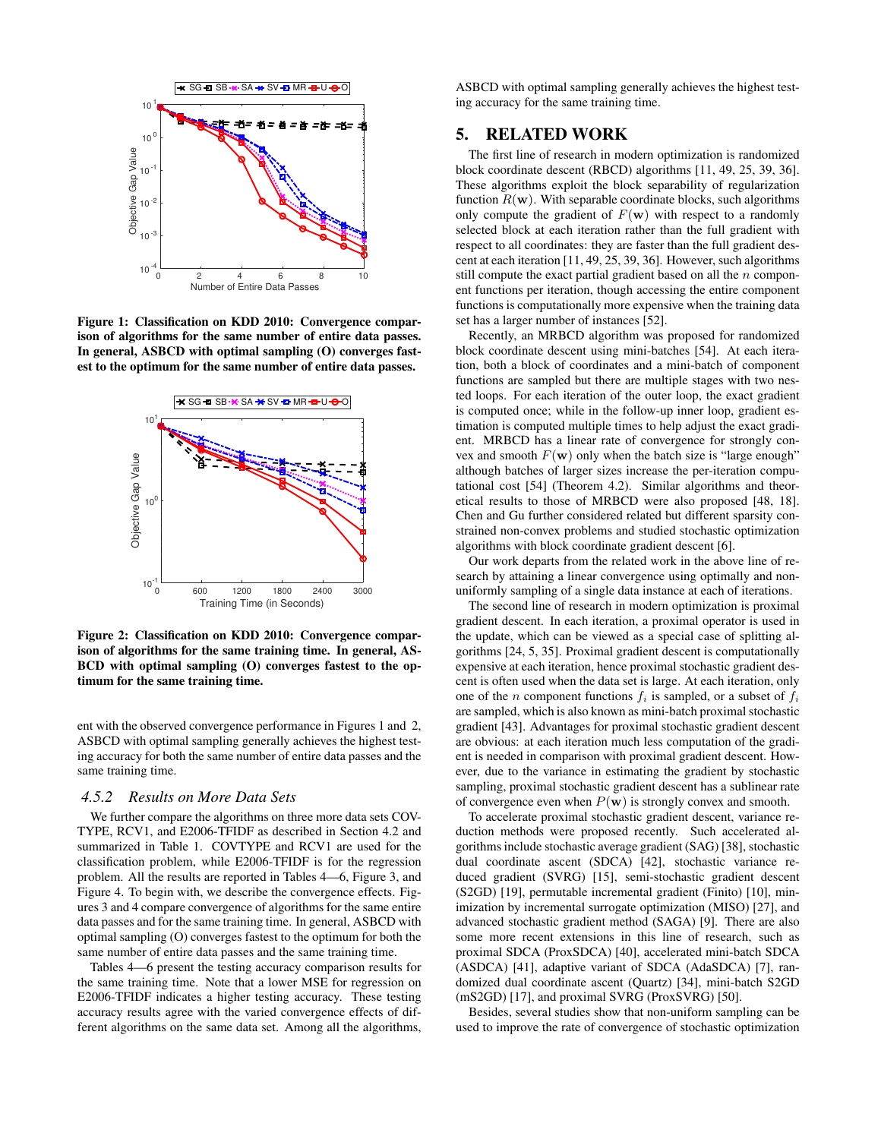<span id="page-4-1"></span>

Figure 1: Classification on KDD 2010: Convergence comparison of algorithms for the same number of entire data passes. In general, ASBCD with optimal sampling (O) converges fastest to the optimum for the same number of entire data passes.

<span id="page-4-2"></span>

Figure 2: Classification on KDD 2010: Convergence comparison of algorithms for the same training time. In general, AS-BCD with optimal sampling (O) converges fastest to the optimum for the same training time.

ent with the observed convergence performance in Figures [1](#page-4-1) and [2,](#page-4-2) ASBCD with optimal sampling generally achieves the highest testing accuracy for both the same number of entire data passes and the same training time.

### *4.5.2 Results on More Data Sets*

We further compare the algorithms on three more data sets COV-TYPE, RCV1, and E2006-TFIDF as described in Section [4.2](#page-2-5) and summarized in Table [1.](#page-3-0) COVTYPE and RCV1 are used for the classification problem, while E2006-TFIDF is for the regression problem. All the results are reported in Tables [4—](#page-6-11)[6,](#page-6-10) Figure [3,](#page-7-7) and Figure [4.](#page-7-6) To begin with, we describe the convergence effects. Figures [3](#page-7-7) and [4](#page-7-6) compare convergence of algorithms for the same entire data passes and for the same training time. In general, ASBCD with optimal sampling (O) converges fastest to the optimum for both the same number of entire data passes and the same training time.

Tables [4](#page-6-11)[—6](#page-6-10) present the testing accuracy comparison results for the same training time. Note that a lower MSE for regression on E2006-TFIDF indicates a higher testing accuracy. These testing accuracy results agree with the varied convergence effects of different algorithms on the same data set. Among all the algorithms,

ASBCD with optimal sampling generally achieves the highest testing accuracy for the same training time.

## <span id="page-4-0"></span>5. RELATED WORK

The first line of research in modern optimization is randomized block coordinate descent (RBCD) algorithms [\[11,](#page-6-2) [49,](#page-8-9) [25,](#page-7-8) [39,](#page-8-2) [36\]](#page-7-3). These algorithms exploit the block separability of regularization function  $R(\mathbf{w})$ . With separable coordinate blocks, such algorithms only compute the gradient of  $F(\mathbf{w})$  with respect to a randomly selected block at each iteration rather than the full gradient with respect to all coordinates: they are faster than the full gradient descent at each iteration [\[11,](#page-6-2) [49,](#page-8-9) [25,](#page-7-8) [39,](#page-8-2) [36\]](#page-7-3). However, such algorithms still compute the exact partial gradient based on all the  $n$  component functions per iteration, though accessing the entire component functions is computationally more expensive when the training data set has a larger number of instances [\[52\]](#page-8-10).

Recently, an MRBCD algorithm was proposed for randomized block coordinate descent using mini-batches [\[54\]](#page-8-8). At each iteration, both a block of coordinates and a mini-batch of component functions are sampled but there are multiple stages with two nested loops. For each iteration of the outer loop, the exact gradient is computed once; while in the follow-up inner loop, gradient estimation is computed multiple times to help adjust the exact gradient. MRBCD has a linear rate of convergence for strongly convex and smooth  $F(\mathbf{w})$  only when the batch size is "large enough" although batches of larger sizes increase the per-iteration computational cost [\[54\]](#page-8-8) (Theorem 4.2). Similar algorithms and theoretical results to those of MRBCD were also proposed [\[48,](#page-8-4) [18\]](#page-6-12). Chen and Gu further considered related but different sparsity constrained non-convex problems and studied stochastic optimization algorithms with block coordinate gradient descent [\[6\]](#page-5-8).

Our work departs from the related work in the above line of research by attaining a linear convergence using optimally and nonuniformly sampling of a single data instance at each of iterations.

The second line of research in modern optimization is proximal gradient descent. In each iteration, a proximal operator is used in the update, which can be viewed as a special case of splitting algorithms [\[24,](#page-7-9) [5,](#page-5-9) [35\]](#page-7-5). Proximal gradient descent is computationally expensive at each iteration, hence proximal stochastic gradient descent is often used when the data set is large. At each iteration, only one of the *n* component functions  $f_i$  is sampled, or a subset of  $f_i$ are sampled, which is also known as mini-batch proximal stochastic gradient [\[43\]](#page-8-11). Advantages for proximal stochastic gradient descent are obvious: at each iteration much less computation of the gradient is needed in comparison with proximal gradient descent. However, due to the variance in estimating the gradient by stochastic sampling, proximal stochastic gradient descent has a sublinear rate of convergence even when  $P(\mathbf{w})$  is strongly convex and smooth.

To accelerate proximal stochastic gradient descent, variance reduction methods were proposed recently. Such accelerated algorithms include stochastic average gradient (SAG) [\[38\]](#page-8-12), stochastic dual coordinate ascent (SDCA) [\[42\]](#page-8-13), stochastic variance reduced gradient (SVRG) [\[15\]](#page-6-9), semi-stochastic gradient descent (S2GD) [\[19\]](#page-6-13), permutable incremental gradient (Finito) [\[10\]](#page-5-10), minimization by incremental surrogate optimization (MISO) [\[27\]](#page-7-10), and advanced stochastic gradient method (SAGA) [\[9\]](#page-5-5). There are also some more recent extensions in this line of research, such as proximal SDCA (ProxSDCA) [\[40\]](#page-8-14), accelerated mini-batch SDCA (ASDCA) [\[41\]](#page-8-15), adaptive variant of SDCA (AdaSDCA) [\[7\]](#page-5-11), randomized dual coordinate ascent (Quartz) [\[34\]](#page-7-11), mini-batch S2GD (mS2GD) [\[17\]](#page-6-14), and proximal SVRG (ProxSVRG) [\[50\]](#page-8-7).

Besides, several studies show that non-uniform sampling can be used to improve the rate of convergence of stochastic optimization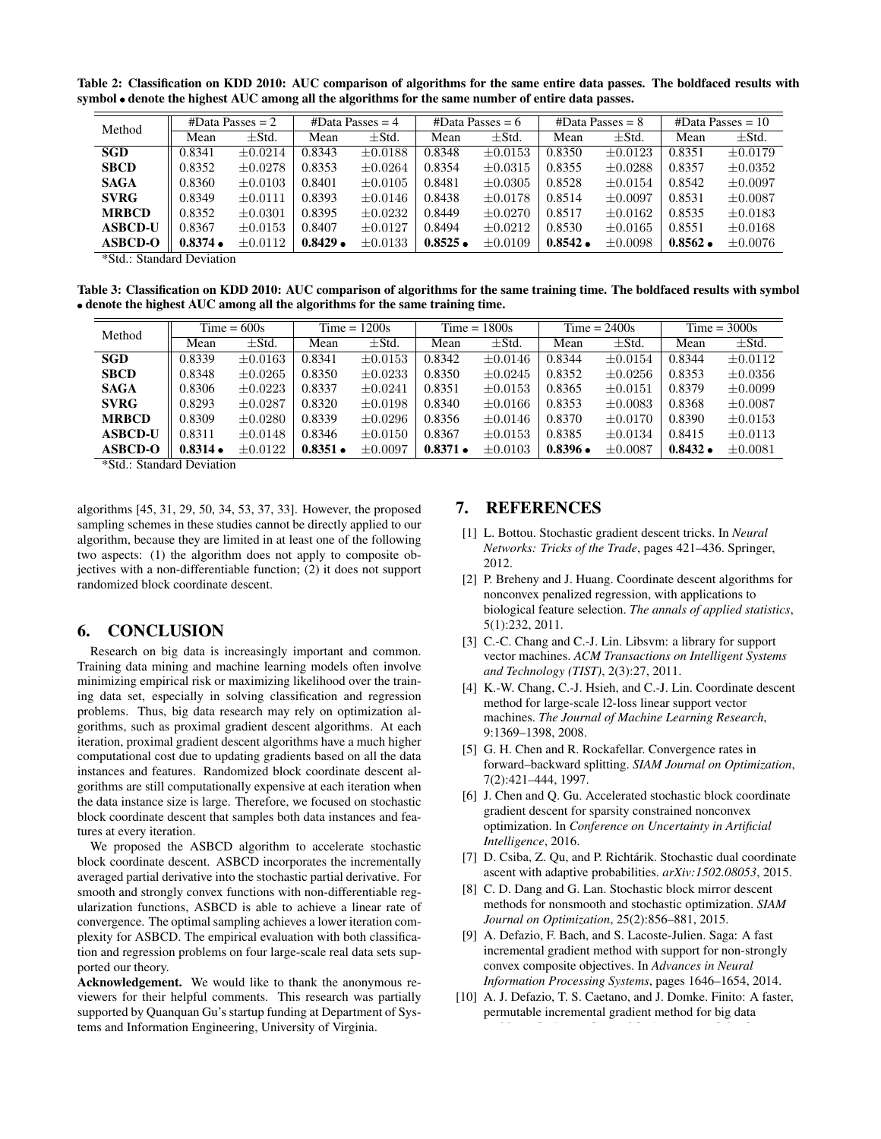<span id="page-5-6"></span>Table 2: Classification on KDD 2010: AUC comparison of algorithms for the same entire data passes. The boldfaced results with symbol  $\bullet$  denote the highest AUC among all the algorithms for the same number of entire data passes.

| Method         | $#Data Passes = 2$           |              | #Data Passes $=$ 4 |              | $#Data Passes = 6$ |              |                  | $#Data Passes = 8$ | $#Data Passes = 10$ |              |
|----------------|------------------------------|--------------|--------------------|--------------|--------------------|--------------|------------------|--------------------|---------------------|--------------|
|                | Mean                         | $\pm$ Std.   | Mean               | $\pm$ Std.   | Mean               | $\pm$ Std.   | Mean             | $\pm$ Std.         | Mean                | $\pm$ Std.   |
| <b>SGD</b>     | 0.8341                       | $\pm 0.0214$ | 0.8343             | $\pm 0.0188$ | 0.8348             | $\pm 0.0153$ | 0.8350           | $\pm 0.0123$       | 0.8351              | $+0.0179$    |
| <b>SBCD</b>    | 0.8352                       | $\pm 0.0278$ | 0.8353             | $\pm 0.0264$ | 0.8354             | $\pm 0.0315$ | 0.8355           | $\pm 0.0288$       | 0.8357              | $+0.0352$    |
| <b>SAGA</b>    | 0.8360                       | $\pm 0.0103$ | 0.8401             | $\pm 0.0105$ | 0.8481             | $\pm 0.0305$ | 0.8528           | $\pm 0.0154$       | 0.8542              | $\pm 0.0097$ |
| <b>SVRG</b>    | 0.8349                       | $\pm 0.0111$ | 0.8393             | $\pm 0.0146$ | 0.8438             | $\pm 0.0178$ | 0.8514           | $\pm 0.0097$       | 0.8531              | $+0.0087$    |
| <b>MRBCD</b>   | 0.8352                       | $\pm 0.0301$ | 0.8395             | $\pm 0.0232$ | 0.8449             | $\pm 0.0270$ | 0.8517           | $\pm 0.0162$       | 0.8535              | $\pm 0.0183$ |
| <b>ASBCD-U</b> | 0.8367                       | $\pm 0.0153$ | 0.8407             | $\pm 0.0127$ | 0.8494             | $\pm 0.0212$ | 0.8530           | $\pm 0.0165$       | 0.8551              | $\pm 0.0168$ |
| <b>ASBCD-O</b> | $0.8374 \bullet$<br>$\cdots$ | $\pm 0.0112$ | $0.8429 \bullet$   | $\pm 0.0133$ | $0.8525$ $\bullet$ | $\pm 0.0109$ | $0.8542 \bullet$ | $\pm 0.0098$       | $0.8562 \bullet$    | $\pm 0.0076$ |

\*Std.: Standard Deviation

<span id="page-5-7"></span>Table 3: Classification on KDD 2010: AUC comparison of algorithms for the same training time. The boldfaced results with symbol denote the highest AUC among all the algorithms for the same training time.

| Method         | $Time = 600s$    |              | $Time = 1200s$ |              | $Time = 1800s$   |              | $Time = 2400s$   |              | $Time = 3000s$   |              |
|----------------|------------------|--------------|----------------|--------------|------------------|--------------|------------------|--------------|------------------|--------------|
|                | Mean             | $\pm$ Std.   | Mean           | $\pm$ Std.   | Mean             | $\pm$ Std.   | Mean             | $\pm$ Std.   | Mean             | $\pm$ Std.   |
| <b>SGD</b>     | 0.8339           | $\pm 0.0163$ | 0.8341         | $\pm 0.0153$ | 0.8342           | $\pm 0.0146$ | 0.8344           | $\pm 0.0154$ | 0.8344           | $+0.0112$    |
| <b>SBCD</b>    | 0.8348           | $\pm 0.0265$ | 0.8350         | $\pm 0.0233$ | 0.8350           | $\pm 0.0245$ | 0.8352           | $\pm 0.0256$ | 0.8353           | $\pm 0.0356$ |
| <b>SAGA</b>    | 0.8306           | $\pm 0.0223$ | 0.8337         | $\pm 0.0241$ | 0.8351           | $\pm 0.0153$ | 0.8365           | $\pm 0.0151$ | 0.8379           | $\pm 0.0099$ |
| <b>SVRG</b>    | 0.8293           | $+0.0287$    | 0.8320         | $\pm 0.0198$ | 0.8340           | $+0.0166$    | 0.8353           | $\pm 0.0083$ | 0.8368           | $\pm 0.0087$ |
| <b>MRBCD</b>   | 0.8309           | $\pm 0.0280$ | 0.8339         | $\pm 0.0296$ | 0.8356           | $\pm 0.0146$ | 0.8370           | $\pm 0.0170$ | 0.8390           | $\pm 0.0153$ |
| <b>ASBCD-U</b> | 0.8311           | $\pm 0.0148$ | 0.8346         | $\pm 0.0150$ | 0.8367           | $\pm 0.0153$ | 0.8385           | $\pm 0.0134$ | 0.8415           | $\pm 0.0113$ |
| <b>ASBCD-O</b> | $0.8314 \bullet$ | $\pm 0.0122$ | 0.8351         | $\pm 0.0097$ | $0.8371 \bullet$ | $\pm 0.0103$ | $0.8396 \bullet$ | $\pm 0.0087$ | $0.8432 \bullet$ | $\pm 0.0081$ |

\*Std.: Standard Deviation

algorithms [\[45,](#page-8-16) [31,](#page-7-2) [29,](#page-7-12) [50,](#page-8-7) [34,](#page-7-11) [53,](#page-8-17) [37,](#page-8-18) [33\]](#page-7-13). However, the proposed sampling schemes in these studies cannot be directly applied to our algorithm, because they are limited in at least one of the following two aspects: (1) the algorithm does not apply to composite objectives with a non-differentiable function; (2) it does not support randomized block coordinate descent.

## 6. CONCLUSION

Research on big data is increasingly important and common. Training data mining and machine learning models often involve minimizing empirical risk or maximizing likelihood over the training data set, especially in solving classification and regression problems. Thus, big data research may rely on optimization algorithms, such as proximal gradient descent algorithms. At each iteration, proximal gradient descent algorithms have a much higher computational cost due to updating gradients based on all the data instances and features. Randomized block coordinate descent algorithms are still computationally expensive at each iteration when the data instance size is large. Therefore, we focused on stochastic block coordinate descent that samples both data instances and features at every iteration.

We proposed the ASBCD algorithm to accelerate stochastic block coordinate descent. ASBCD incorporates the incrementally averaged partial derivative into the stochastic partial derivative. For smooth and strongly convex functions with non-differentiable regularization functions, ASBCD is able to achieve a linear rate of convergence. The optimal sampling achieves a lower iteration complexity for ASBCD. The empirical evaluation with both classification and regression problems on four large-scale real data sets supported our theory.

Acknowledgement. We would like to thank the anonymous reviewers for their helpful comments. This research was partially supported by Quanquan Gu's startup funding at Department of Systems and Information Engineering, University of Virginia.

## 7. REFERENCES

- <span id="page-5-4"></span>[1] L. Bottou. Stochastic gradient descent tricks. In *Neural Networks: Tricks of the Trade*, pages 421–436. Springer, 2012.
- <span id="page-5-0"></span>[2] P. Breheny and J. Huang. Coordinate descent algorithms for nonconvex penalized regression, with applications to biological feature selection. *The annals of applied statistics*, 5(1):232, 2011.
- <span id="page-5-3"></span>[3] C.-C. Chang and C.-J. Lin. Libsvm: a library for support vector machines. *ACM Transactions on Intelligent Systems and Technology (TIST)*, 2(3):27, 2011.
- <span id="page-5-1"></span>[4] K.-W. Chang, C.-J. Hsieh, and C.-J. Lin. Coordinate descent method for large-scale l2-loss linear support vector machines. *The Journal of Machine Learning Research*, 9:1369–1398, 2008.
- <span id="page-5-9"></span>[5] G. H. Chen and R. Rockafellar. Convergence rates in forward–backward splitting. *SIAM Journal on Optimization*, 7(2):421–444, 1997.
- <span id="page-5-8"></span>[6] J. Chen and Q. Gu. Accelerated stochastic block coordinate gradient descent for sparsity constrained nonconvex optimization. In *Conference on Uncertainty in Artificial Intelligence*, 2016.
- <span id="page-5-11"></span>[7] D. Csiba, Z. Qu, and P. Richtárik. Stochastic dual coordinate ascent with adaptive probabilities. *arXiv:1502.08053*, 2015.
- <span id="page-5-2"></span>[8] C. D. Dang and G. Lan. Stochastic block mirror descent methods for nonsmooth and stochastic optimization. *SIAM Journal on Optimization*, 25(2):856–881, 2015.
- <span id="page-5-5"></span>[9] A. Defazio, F. Bach, and S. Lacoste-Julien. Saga: A fast incremental gradient method with support for non-strongly convex composite objectives. In *Advances in Neural Information Processing Systems*, pages 1646–1654, 2014.
- <span id="page-5-10"></span>[10] A. J. Defazio, T. S. Caetano, and J. Domke. Finito: A faster, permutable incremental gradient method for big data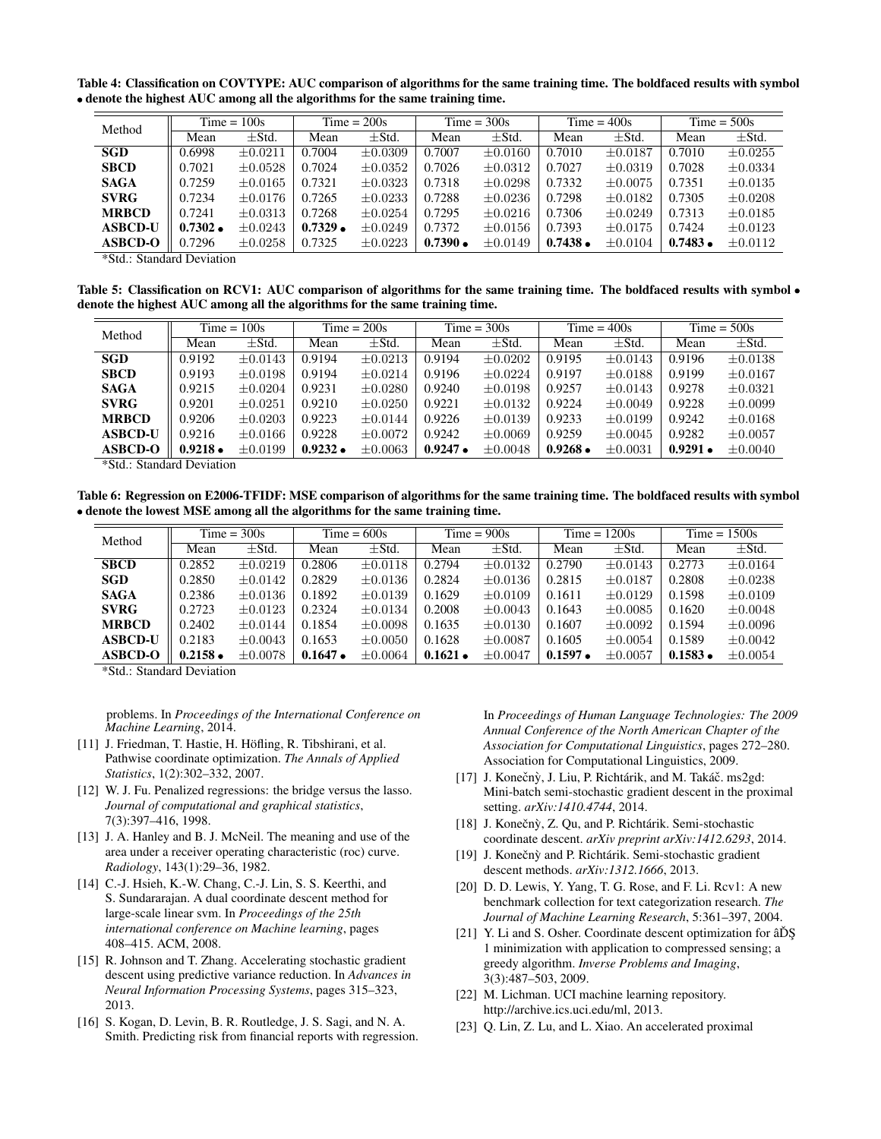<span id="page-6-11"></span>Table 4: Classification on COVTYPE: AUC comparison of algorithms for the same training time. The boldfaced results with symbol denote the highest AUC among all the algorithms for the same training time.

| Method         | $Time = 100s$    |              | $Time = 200s$      |              | $Time = 300s$    |              | $Time = 400s$    |              | $Time = 500s$    |              |
|----------------|------------------|--------------|--------------------|--------------|------------------|--------------|------------------|--------------|------------------|--------------|
|                | Mean             | $\pm$ Std.   | Mean               | $\pm$ Std.   | Mean             | $\pm$ Std.   | Mean             | $\pm$ Std.   | Mean             | $\pm$ Std.   |
| <b>SGD</b>     | 0.6998           | $\pm 0.0211$ | 0.7004             | $\pm 0.0309$ | 0.7007           | $\pm 0.0160$ | 0.7010           | $\pm 0.0187$ | 0.7010           | $\pm 0.0255$ |
| <b>SBCD</b>    | 0.7021           | $\pm 0.0528$ | 0.7024             | $\pm 0.0352$ | 0.7026           | $\pm 0.0312$ | 0.7027           | $\pm 0.0319$ | 0.7028           | $\pm 0.0334$ |
| <b>SAGA</b>    | 0.7259           | $\pm 0.0165$ | 0.7321             | $\pm 0.0323$ | 0.7318           | $\pm 0.0298$ | 0.7332           | $\pm 0.0075$ | 0.7351           | $\pm 0.0135$ |
| <b>SVRG</b>    | 0.7234           | $+0.0176$    | 0.7265             | $\pm 0.0233$ | 0.7288           | $+0.0236$    | 0.7298           | $\pm 0.0182$ | 0.7305           | $+0.0208$    |
| <b>MRBCD</b>   | 0.7241           | $\pm 0.0313$ | 0.7268             | $\pm 0.0254$ | 0.7295           | $+0.0216$    | 0.7306           | $\pm 0.0249$ | 0.7313           | $\pm 0.0185$ |
| <b>ASBCD-U</b> | $0.7302 \bullet$ | $\pm 0.0243$ | $0.7329$ $\bullet$ | $\pm 0.0249$ | 0.7372           | $\pm 0.0156$ | 0.7393           | $\pm 0.0175$ | 0.7424           | $\pm 0.0123$ |
| <b>ASBCD-O</b> | 0.7296           | $\pm 0.0258$ | 0.7325             | $\pm 0.0223$ | $0.7390 \bullet$ | $\pm 0.0149$ | $0.7438 \bullet$ | $\pm 0.0104$ | $0.7483 \bullet$ | $\pm 0.0112$ |

\*Std.: Standard Deviation

Table 5: Classification on RCV1: AUC comparison of algorithms for the same training time. The boldfaced results with symbol  $\bullet$ denote the highest AUC among all the algorithms for the same training time.

| Method         | $Time = 100s$    |              | $Time = 200s$    |              | $Time = 300s$    |              | $Time = 400s$      |              | $Time = 500s$    |              |
|----------------|------------------|--------------|------------------|--------------|------------------|--------------|--------------------|--------------|------------------|--------------|
|                | Mean             | $\pm$ Std.   | Mean             | $\pm$ Std.   | Mean             | $\pm$ Std.   | Mean               | $\pm$ Std.   | Mean             | $\pm$ Std.   |
| <b>SGD</b>     | 0.9192           | $\pm 0.0143$ | 0.9194           | $\pm 0.0213$ | 0.9194           | $\pm 0.0202$ | 0.9195             | $\pm 0.0143$ | 0.9196           | $\pm 0.0138$ |
| <b>SBCD</b>    | 0.9193           | $\pm 0.0198$ | 0.9194           | $\pm 0.0214$ | 0.9196           | $\pm 0.0224$ | 0.9197             | $\pm 0.0188$ | 0.9199           | $\pm 0.0167$ |
| <b>SAGA</b>    | 0.9215           | $+0.0204$    | 0.9231           | $+0.0280$    | 0.9240           | $+0.0198$    | 0.9257             | $+0.0143$    | 0.9278           | $+0.0321$    |
| <b>SVRG</b>    | 0.9201           | $+0.0251$    | 0.9210           | $+0.0250$    | 0.9221           | $\pm 0.0132$ | 0.9224             | $+0.0049$    | 0.9228           | $+0.0099$    |
| <b>MRBCD</b>   | 0.9206           | $\pm 0.0203$ | 0.9223           | $+0.0144$    | 0.9226           | $\pm 0.0139$ | 0.9233             | $\pm 0.0199$ | 0.9242           | $\pm 0.0168$ |
| <b>ASBCD-U</b> | 0.9216           | $\pm 0.0166$ | 0.9228           | $\pm 0.0072$ | 0.9242           | $\pm 0.0069$ | 0.9259             | $\pm 0.0045$ | 0.9282           | $\pm 0.0057$ |
| <b>ASBCD-O</b> | $0.9218 \bullet$ | $\pm 0.0199$ | $0.9232 \bullet$ | $\pm 0.0063$ | $0.9247 \bullet$ | $\pm 0.0048$ | $0.9268$ $\bullet$ | $\pm 0.0031$ | $0.9291 \bullet$ | $\pm 0.0040$ |

\*Std.: Standard Deviation

<span id="page-6-10"></span>Table 6: Regression on E2006-TFIDF: MSE comparison of algorithms for the same training time. The boldfaced results with symbol denote the lowest MSE among all the algorithms for the same training time.

| Method         | $Time = 300s$    |              | $Time = 600s$    |              | $Time = 900s$ |              | $Time = 1200s$ |              | $Time = 1500s$     |              |
|----------------|------------------|--------------|------------------|--------------|---------------|--------------|----------------|--------------|--------------------|--------------|
|                | Mean             | $\pm$ Std.   | Mean             | $\pm$ Std.   | Mean          | $\pm$ Std.   | Mean           | $\pm$ Std.   | Mean               | $\pm$ Std.   |
| <b>SBCD</b>    | 0.2852           | $\pm 0.0219$ | 0.2806           | $\pm 0.0118$ | 0.2794        | $\pm 0.0132$ | 0.2790         | $\pm 0.0143$ | 0.2773             | $+0.0164$    |
| <b>SGD</b>     | 0.2850           | $\pm 0.0142$ | 0.2829           | $\pm 0.0136$ | 0.2824        | $\pm 0.0136$ | 0.2815         | $\pm 0.0187$ | 0.2808             | $\pm 0.0238$ |
| <b>SAGA</b>    | 0.2386           | $\pm 0.0136$ | 0.1892           | $\pm 0.0139$ | 0.1629        | $\pm 0.0109$ | 0.1611         | $\pm 0.0129$ | 0.1598             | $+0.0109$    |
| <b>SVRG</b>    | 0.2723           | $\pm 0.0123$ | 0.2324           | $+0.0134$    | 0.2008        | $+0.0043$    | 0.1643         | $+0.0085$    | 0.1620             | $\pm 0.0048$ |
| <b>MRBCD</b>   | 0.2402           | $\pm 0.0144$ | 0.1854           | $\pm 0.0098$ | 0.1635        | $\pm 0.0130$ | 0.1607         | $\pm 0.0092$ | 0.1594             | $\pm 0.0096$ |
| <b>ASBCD-U</b> | 0.2183           | $\pm 0.0043$ | 0.1653           | $+0.0050$    | 0.1628        | $\pm 0.0087$ | 0.1605         | $\pm 0.0054$ | 0.1589             | $\pm 0.0042$ |
| <b>ASBCD-O</b> | $0.2158 \bullet$ | $\pm 0.0078$ | $0.1647 \bullet$ | $\pm 0.0064$ | 0.1621        | $+0.0047$    | 0.1597         | $\pm 0.0057$ | $0.1583$ $\bullet$ | $\pm 0.0054$ |

\*Std.: Standard Deviation

*Machine Learning*, 2014. problems. In *Proceedings of the International Conference on*

- <span id="page-6-2"></span>[11] J. Friedman, T. Hastie, H. Höfling, R. Tibshirani, et al. Pathwise coordinate optimization. *The Annals of Applied Statistics*, 1(2):302–332, 2007.
- <span id="page-6-1"></span>[12] W. J. Fu. Penalized regressions: the bridge versus the lasso. *Journal of computational and graphical statistics*, 7(3):397–416, 1998.
- <span id="page-6-5"></span>[13] J. A. Hanley and B. J. McNeil. The meaning and use of the area under a receiver operating characteristic (roc) curve. *Radiology*, 143(1):29–36, 1982.
- <span id="page-6-3"></span>[14] C.-J. Hsieh, K.-W. Chang, C.-J. Lin, S. S. Keerthi, and S. Sundararajan. A dual coordinate descent method for large-scale linear svm. In *Proceedings of the 25th international conference on Machine learning*, pages 408–415. ACM, 2008.
- <span id="page-6-9"></span>[15] R. Johnson and T. Zhang. Accelerating stochastic gradient descent using predictive variance reduction. In *Advances in Neural Information Processing Systems*, pages 315–323, 2013.
- <span id="page-6-8"></span>[16] S. Kogan, D. Levin, B. R. Routledge, J. S. Sagi, and N. A. Smith. Predicting risk from financial reports with regression.

In *Proceedings of Human Language Technologies: The 2009 Annual Conference of the North American Chapter of the Association for Computational Linguistics*, pages 272–280. Association for Computational Linguistics, 2009.

- <span id="page-6-14"></span>[17] J. Konečnỳ, J. Liu, P. Richtárik, and M. Takáč. ms2gd: Mini-batch semi-stochastic gradient descent in the proximal setting. *arXiv:1410.4744*, 2014.
- <span id="page-6-12"></span>[18] J. Konečnỳ, Z. Qu, and P. Richtárik. Semi-stochastic coordinate descent. *arXiv preprint arXiv:1412.6293*, 2014.
- <span id="page-6-13"></span>[19] J. Konečnỳ and P. Richtárik. Semi-stochastic gradient descent methods. *arXiv:1312.1666*, 2013.
- <span id="page-6-7"></span>[20] D. D. Lewis, Y. Yang, T. G. Rose, and F. Li. Rcv1: A new benchmark collection for text categorization research. *The Journal of Machine Learning Research*, 5:361–397, 2004.
- <span id="page-6-4"></span>[21] Y. Li and S. Osher. Coordinate descent optimization for  $\hat{a}$ DS<sup>{1}</sup></sup> 1 minimization with application to compressed sensing; a greedy algorithm. *Inverse Problems and Imaging*, 3(3):487–503, 2009.
- <span id="page-6-6"></span>[22] M. Lichman. UCI machine learning repository. [http://archive.ics.uci.edu/ml,](http://archive.ics.uci.edu/ml) 2013.
- <span id="page-6-0"></span>[23] Q. Lin, Z. Lu, and L. Xiao. An accelerated proximal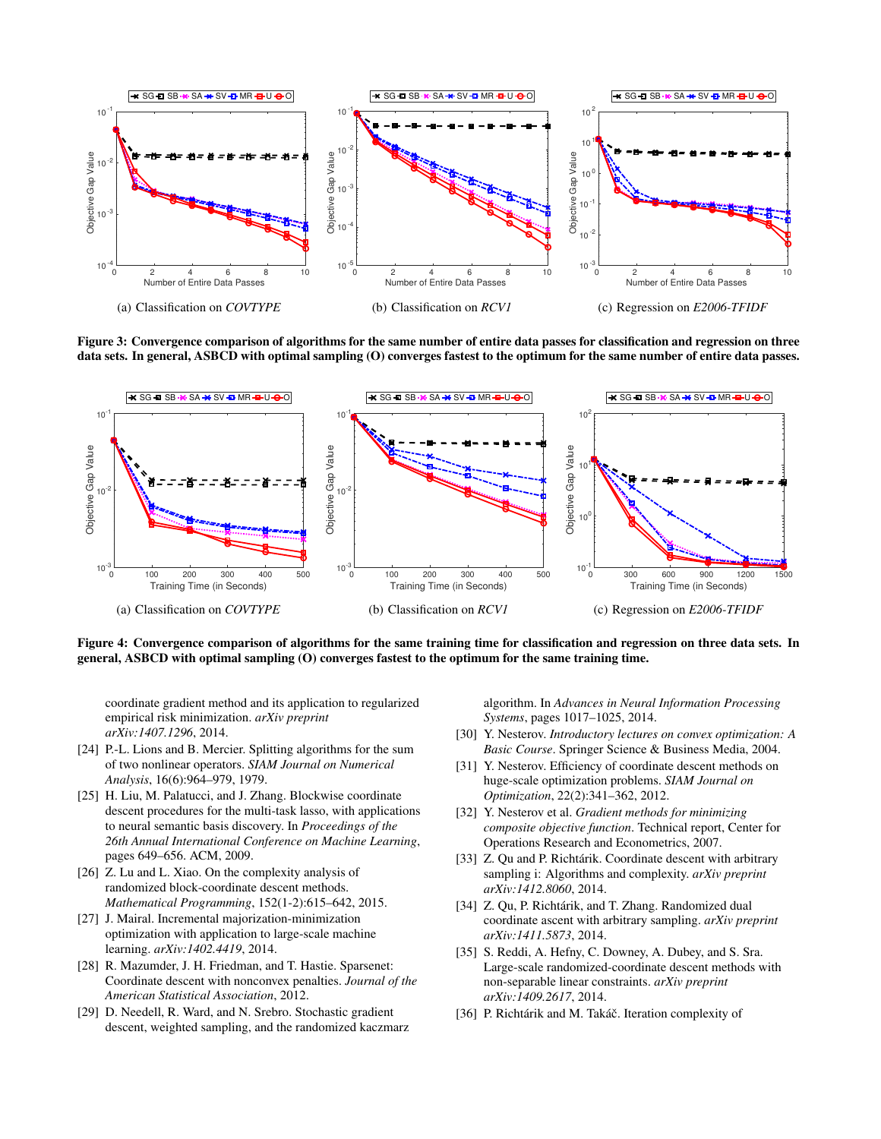<span id="page-7-7"></span>

Figure 3: Convergence comparison of algorithms for the same number of entire data passes for classification and regression on three data sets. In general, ASBCD with optimal sampling (O) converges fastest to the optimum for the same number of entire data passes.

<span id="page-7-6"></span>![](_page_7_Figure_2.jpeg)

Figure 4: Convergence comparison of algorithms for the same training time for classification and regression on three data sets. In general, ASBCD with optimal sampling (O) converges fastest to the optimum for the same training time.

coordinate gradient method and its application to regularized empirical risk minimization. *arXiv preprint arXiv:1407.1296*, 2014.

- <span id="page-7-9"></span>[24] P.-L. Lions and B. Mercier. Splitting algorithms for the sum of two nonlinear operators. *SIAM Journal on Numerical Analysis*, 16(6):964–979, 1979.
- <span id="page-7-8"></span>[25] H. Liu, M. Palatucci, and J. Zhang. Blockwise coordinate descent procedures for the multi-task lasso, with applications to neural semantic basis discovery. In *Proceedings of the 26th Annual International Conference on Machine Learning*, pages 649–656. ACM, 2009.
- <span id="page-7-4"></span>[26] Z. Lu and L. Xiao. On the complexity analysis of randomized block-coordinate descent methods. *Mathematical Programming*, 152(1-2):615–642, 2015.
- <span id="page-7-10"></span>[27] J. Mairal. Incremental majorization-minimization optimization with application to large-scale machine learning. *arXiv:1402.4419*, 2014.
- <span id="page-7-1"></span>[28] R. Mazumder, J. H. Friedman, and T. Hastie. Sparsenet: Coordinate descent with nonconvex penalties. *Journal of the American Statistical Association*, 2012.
- <span id="page-7-12"></span>[29] D. Needell, R. Ward, and N. Srebro. Stochastic gradient descent, weighted sampling, and the randomized kaczmarz

algorithm. In *Advances in Neural Information Processing Systems*, pages 1017–1025, 2014.

- <span id="page-7-14"></span>[30] Y. Nesterov. *Introductory lectures on convex optimization: A Basic Course*. Springer Science & Business Media, 2004.
- <span id="page-7-2"></span>[31] Y. Nesterov. Efficiency of coordinate descent methods on huge-scale optimization problems. *SIAM Journal on Optimization*, 22(2):341–362, 2012.
- <span id="page-7-0"></span>[32] Y. Nesterov et al. *Gradient methods for minimizing composite objective function*. Technical report, Center for Operations Research and Econometrics, 2007.
- <span id="page-7-13"></span>[33] Z. Qu and P. Richtárik. Coordinate descent with arbitrary sampling i: Algorithms and complexity. *arXiv preprint arXiv:1412.8060*, 2014.
- <span id="page-7-11"></span>[34] Z. Qu, P. Richtárik, and T. Zhang. Randomized dual coordinate ascent with arbitrary sampling. *arXiv preprint arXiv:1411.5873*, 2014.
- <span id="page-7-5"></span>[35] S. Reddi, A. Hefny, C. Downey, A. Dubey, and S. Sra. Large-scale randomized-coordinate descent methods with non-separable linear constraints. *arXiv preprint arXiv:1409.2617*, 2014.
- <span id="page-7-3"></span>[36] P. Richtárik and M. Takáč. Iteration complexity of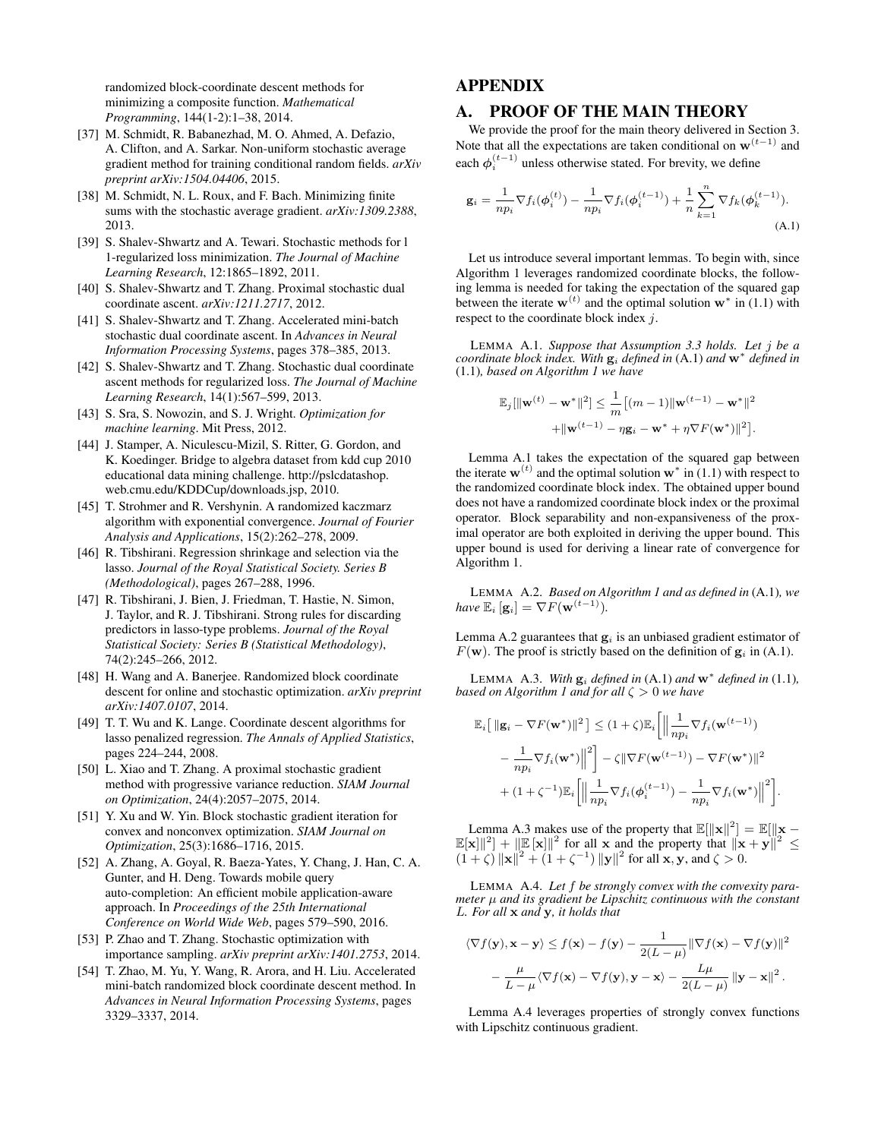randomized block-coordinate descent methods for minimizing a composite function. *Mathematical Programming*, 144(1-2):1–38, 2014.

- <span id="page-8-18"></span>[37] M. Schmidt, R. Babanezhad, M. O. Ahmed, A. Defazio, A. Clifton, and A. Sarkar. Non-uniform stochastic average gradient method for training conditional random fields. *arXiv preprint arXiv:1504.04406*, 2015.
- <span id="page-8-12"></span>[38] M. Schmidt, N. L. Roux, and F. Bach. Minimizing finite sums with the stochastic average gradient. *arXiv:1309.2388*, 2013.
- <span id="page-8-2"></span>[39] S. Shalev-Shwartz and A. Tewari. Stochastic methods for l 1-regularized loss minimization. *The Journal of Machine Learning Research*, 12:1865–1892, 2011.
- <span id="page-8-14"></span>[40] S. Shalev-Shwartz and T. Zhang. Proximal stochastic dual coordinate ascent. *arXiv:1211.2717*, 2012.
- <span id="page-8-15"></span>[41] S. Shalev-Shwartz and T. Zhang. Accelerated mini-batch stochastic dual coordinate ascent. In *Advances in Neural Information Processing Systems*, pages 378–385, 2013.
- <span id="page-8-13"></span>[42] S. Shalev-Shwartz and T. Zhang. Stochastic dual coordinate ascent methods for regularized loss. *The Journal of Machine Learning Research*, 14(1):567–599, 2013.
- <span id="page-8-11"></span>[43] S. Sra, S. Nowozin, and S. J. Wright. *Optimization for machine learning*. Mit Press, 2012.
- <span id="page-8-6"></span>[44] J. Stamper, A. Niculescu-Mizil, S. Ritter, G. Gordon, and K. Koedinger. Bridge to algebra dataset from kdd cup 2010 educational data mining challenge. http://pslcdatashop. web.cmu.edu/KDDCup/downloads.jsp, 2010.
- <span id="page-8-16"></span>[45] T. Strohmer and R. Vershynin. A randomized kaczmarz algorithm with exponential convergence. *Journal of Fourier Analysis and Applications*, 15(2):262–278, 2009.
- <span id="page-8-0"></span>[46] R. Tibshirani. Regression shrinkage and selection via the lasso. *Journal of the Royal Statistical Society. Series B (Methodological)*, pages 267–288, 1996.
- <span id="page-8-1"></span>[47] R. Tibshirani, J. Bien, J. Friedman, T. Hastie, N. Simon, J. Taylor, and R. J. Tibshirani. Strong rules for discarding predictors in lasso-type problems. *Journal of the Royal Statistical Society: Series B (Statistical Methodology)*, 74(2):245–266, 2012.
- <span id="page-8-4"></span>[48] H. Wang and A. Banerjee. Randomized block coordinate descent for online and stochastic optimization. *arXiv preprint arXiv:1407.0107*, 2014.
- <span id="page-8-9"></span>[49] T. T. Wu and K. Lange. Coordinate descent algorithms for lasso penalized regression. *The Annals of Applied Statistics*, pages 224–244, 2008.
- <span id="page-8-7"></span>[50] L. Xiao and T. Zhang. A proximal stochastic gradient method with progressive variance reduction. *SIAM Journal on Optimization*, 24(4):2057–2075, 2014.
- <span id="page-8-3"></span>[51] Y. Xu and W. Yin. Block stochastic gradient iteration for convex and nonconvex optimization. *SIAM Journal on Optimization*, 25(3):1686–1716, 2015.
- <span id="page-8-10"></span>[52] A. Zhang, A. Goyal, R. Baeza-Yates, Y. Chang, J. Han, C. A. Gunter, and H. Deng. Towards mobile query auto-completion: An efficient mobile application-aware approach. In *Proceedings of the 25th International Conference on World Wide Web*, pages 579–590, 2016.
- <span id="page-8-17"></span>[53] P. Zhao and T. Zhang. Stochastic optimization with importance sampling. *arXiv preprint arXiv:1401.2753*, 2014.
- <span id="page-8-8"></span>[54] T. Zhao, M. Yu, Y. Wang, R. Arora, and H. Liu. Accelerated mini-batch randomized block coordinate descent method. In *Advances in Neural Information Processing Systems*, pages 3329–3337, 2014.

## APPENDIX

## <span id="page-8-5"></span>A. PROOF OF THE MAIN THEORY

We provide the proof for the main theory delivered in Section [3.](#page-1-4) Note that all the expectations are taken conditional on  $w^{(t-1)}$  and each  $\phi_i^{(t-1)}$  unless otherwise stated. For brevity, we define

<span id="page-8-19"></span>
$$
\mathbf{g}_{i} = \frac{1}{np_{i}} \nabla f_{i}(\boldsymbol{\phi}_{i}^{(t)}) - \frac{1}{np_{i}} \nabla f_{i}(\boldsymbol{\phi}_{i}^{(t-1)}) + \frac{1}{n} \sum_{k=1}^{n} \nabla f_{k}(\boldsymbol{\phi}_{k}^{(t-1)}).
$$
\n(A.1)

Let us introduce several important lemmas. To begin with, since Algorithm [1](#page-1-0) leverages randomized coordinate blocks, the following lemma is needed for taking the expectation of the squared gap between the iterate  $\mathbf{w}^{(t)}$  and the optimal solution  $\mathbf{w}^*$  in [\(1.1\)](#page-0-0) with respect to the coordinate block index j.

<span id="page-8-20"></span>LEMMA A.1. *Suppose that Assumption [3.3](#page-1-7) holds. Let* j *be a coordinate block index. With* g<sup>i</sup> *defined in* [\(A.1\)](#page-8-19) *and* w<sup>∗</sup> *defined in* [\(1.1\)](#page-0-0)*, based on Algorithm [1](#page-1-0) we have*

$$
\mathbb{E}_{j}[\|\mathbf{w}^{(t)} - \mathbf{w}^{*}\|^{2}] \leq \frac{1}{m} [(m-1)\|\mathbf{w}^{(t-1)} - \mathbf{w}^{*}\|^{2} + \|\mathbf{w}^{(t-1)} - \eta \mathbf{g}_{i} - \mathbf{w}^{*} + \eta \nabla F(\mathbf{w}^{*})\|^{2}].
$$

Lemma [A.1](#page-8-20) takes the expectation of the squared gap between the iterate  $\mathbf{w}^{(t)}$  and the optimal solution  $\mathbf{w}^*$  in [\(1.1\)](#page-0-0) with respect to the randomized coordinate block index. The obtained upper bound does not have a randomized coordinate block index or the proximal operator. Block separability and non-expansiveness of the proximal operator are both exploited in deriving the upper bound. This upper bound is used for deriving a linear rate of convergence for Algorithm [1.](#page-1-0)

<span id="page-8-21"></span>LEMMA A.2. *Based on Algorithm [1](#page-1-0) and as defined in* [\(A.1\)](#page-8-19)*, we have*  $\mathbb{E}_i$  [ $\mathbf{g}_i$ ] =  $\nabla F(\mathbf{w}^{(t-1)})$ *.* 

Lemma [A.2](#page-8-21) guarantees that  $g_i$  is an unbiased gradient estimator of  $F(\mathbf{w})$ . The proof is strictly based on the definition of  $\mathbf{g}_i$  in [\(A.1\)](#page-8-19).

<span id="page-8-22"></span>LEMMA A.3. *With*  $g_i$  *defined in* [\(A.1\)](#page-8-19) *and*  $w^*$  *defined in* [\(1.1\)](#page-0-0)*, based on Algorithm [1](#page-1-0) and for all*  $\zeta > 0$  *we have* 

$$
\mathbb{E}_{i}\Big[\|\mathbf{g}_{i}-\nabla F(\mathbf{w}^{*})\|^{2}\Big] \leq (1+\zeta)\mathbb{E}_{i}\bigg[\Big\|\frac{1}{np_{i}}\nabla f_{i}(\mathbf{w}^{(t-1)}) - \frac{1}{np_{i}}\nabla f_{i}(\mathbf{w}^{*})\Big\|^{2}\bigg] - \zeta\|\nabla F(\mathbf{w}^{(t-1)}) - \nabla F(\mathbf{w}^{*})\|^{2} + (1+\zeta^{-1})\mathbb{E}_{i}\bigg[\Big\|\frac{1}{np_{i}}\nabla f_{i}(\boldsymbol{\phi}_{i}^{(t-1)}) - \frac{1}{np_{i}}\nabla f_{i}(\mathbf{w}^{*})\Big\|^{2}\bigg].
$$

Lemma [A.3](#page-8-22) makes use of the property that  $\mathbb{E}[\|\mathbf{x}\|^2] = \mathbb{E}[\|\mathbf{x} - \mathbf{x}\|^2]$  $\mathbb{E}[\mathbf{x}]\|^2 + \|\mathbb{E}[\mathbf{x}]\|^2$  for all x and the property that  $\|\mathbf{x} + \mathbf{y}\|^2 \leq$  $(1+\zeta) ||\mathbf{x}||^2 + (1+\zeta^{-1}) ||\mathbf{y}||^2$  for all  $\mathbf{x}, \mathbf{y}$ , and  $\zeta > 0$ .

<span id="page-8-23"></span>LEMMA A.4. *Let* f *be strongly convex with the convexity parameter* µ *and its gradient be Lipschitz continuous with the constant* L*. For all* x *and* y*, it holds that*

$$
\langle \nabla f(\mathbf{y}), \mathbf{x} - \mathbf{y} \rangle \le f(\mathbf{x}) - f(\mathbf{y}) - \frac{1}{2(L - \mu)} \|\nabla f(\mathbf{x}) - \nabla f(\mathbf{y})\|^2 - \frac{\mu}{L - \mu} \langle \nabla f(\mathbf{x}) - \nabla f(\mathbf{y}), \mathbf{y} - \mathbf{x} \rangle - \frac{L\mu}{2(L - \mu)} \|\mathbf{y} - \mathbf{x}\|^2.
$$

<span id="page-8-24"></span>Lemma [A.4](#page-8-23) leverages properties of strongly convex functions with Lipschitz continuous gradient.